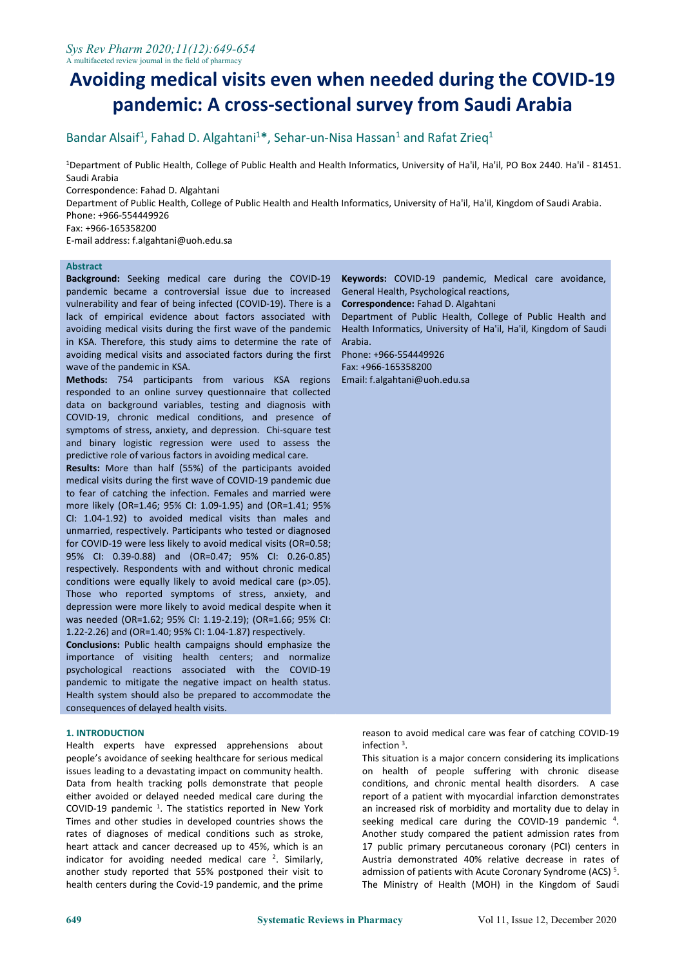# **Avoiding medical visits even when needed during the COVID-19 pandemic: A cross-sectional survey from Saudi Arabia**

### Bandar Alsaif<sup>1</sup>, Fahad D. Algahtani<sup>1\*</sup>, Sehar-un-Nisa Hassan<sup>1</sup> and Rafat Zrieq<sup>1</sup> 1

<sup>1</sup>Department of Public Health, College of Public Health and Health Informatics, University of Ha'il, Ha'il, PO Box 2440. Ha'il - 81451. Saudi Arabia

Correspondence: Fahad D. Algahtani

Department of Public Health, College of Public Health and Health Informatics, University of Ha'il, Ha'il, Kingdom of Saudi Arabia. Phone: +966-554449926

Fax: +966-165358200

E-mail address: f.algahtani@uoh.edu.sa

## **Abstract**

**Background:** Seeking medical care during the COVID-19 pandemic became a controversial issue due to increased vulnerability and fear of being infected (COVID-19). There is a lack of empirical evidence about factors associated with avoiding medical visits during the first wave of the pandemic in KSA. Therefore, this study aims to determine the rate of avoiding medical visits and associated factors during the first wave of the pandemic in KSA.

**Methods:** 754 participants from various KSA regions responded to an online survey questionnaire that collected data on background variables, testing and diagnosis with COVID-19, chronic medical conditions, and presence of symptoms of stress, anxiety, and depression. Chi-square test and binary logistic regression were used to assess the predictive role of various factors in avoiding medical care.

**Results:** More than half (55%) of the participants avoided medical visits during the first wave of COVID-19 pandemic due to fear of catching the infection. Females and married were more likely (OR=1.46; 95% CI: 1.09-1.95) and (OR=1.41; 95% CI: 1.04-1.92) to avoided medical visits than males and unmarried, respectively. Participants who tested or diagnosed for COVID-19 were less likely to avoid medical visits (OR=0.58; 95% CI: 0.39-0.88) and (OR=0.47;95% CI: 0.26-0.85) respectively. Respondents with and without chronic medical conditions were equally likely to avoid medical care (p>.05). Those who reported symptoms of stress, anxiety, and depression were more likely to avoid medical despite when it was needed (OR=1.62; 95% CI: 1.19-2.19); (OR=1.66; 95% CI: 1.22-2.26) and (OR=1.40; 95% CI: 1.04-1.87) respectively.

**Conclusions:** Public health campaigns should emphasize the importance of visiting health centers; and normalize psychological reactions associated with the COVID-19 pandemic to mitigate the negative impact on health status. Health system should also be prepared to accommodate the consequences of delayed health visits.

## **1. INTRODUCTION**

Health experts have expressed apprehensions about people's avoidance of seeking healthcare for serious medical issues leading to a devastating impact on community health. Data from health tracking polls demonstrate that people either avoided or delayed needed medical care during the COVID-19 pandemic <sup>1</sup>. The statistics reported in New York an increased risk of Times and other studies in developed countries shows the rates of diagnoses of medical conditions such as stroke, heart attack and cancer decreased up to 45%, which is an indicator for avoiding needed medical care  $2$ . Similarly,  $\hbox{Al}$ another study reported that 55% postponed their visit to health centers during the Covid-19 pandemic, and the prime

**Keywords:** COVID-19 pandemic, Medical care avoidance, General Health, Psychological reactions,

**Correspondence:** Fahad D. Algahtani

Department of Public Health, College of Public Health and Health Informatics, University of Ha'il, Ha'il, Kingdom of Saudi Arabia.

Phone: +966-554449926 Fax: +966-165358200 Email: f.algahtani@uoh.edu.sa

> reason to avoid medical care was fear of catching COVID-19  $inflection<sup>3</sup>$ . .

This situation is a major concern considering its implications on health of people suffering with chronic disease conditions, and chronic mental health disorders. A case report of a patient with myocardial infarction demonstrates an increased risk of morbidity and mortality due to delay in seeking medical care during the COVID-19 pandemic 4 . Another study compared the patient admission rates from 17 public primary percutaneous coronary (PCI) centers in Austria demonstrated 40% relative decrease in rates of admission of patients with Acute Coronary Syndrome (ACS)<sup>5</sup>. The Ministry of Health (MOH) in the Kingdom of Saudi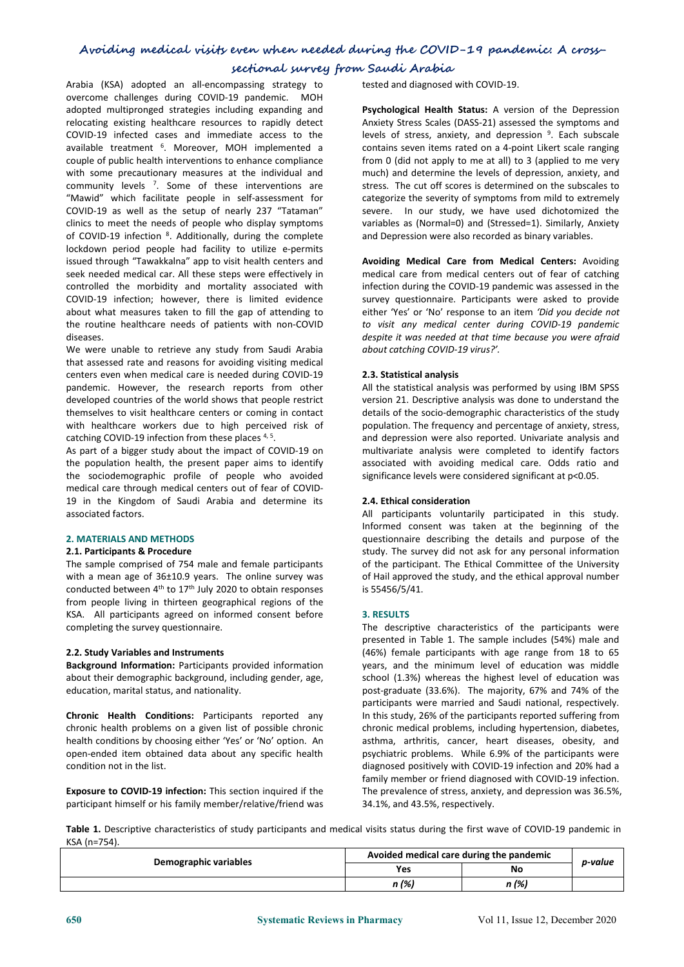## **sectional survey from Saudi Arabia**

Arabia (KSA) adopted an all-encompassing strategy to overcome challenges during COVID-19 pandemic. MOH adopted multipronged strategies including expanding and relocating existing healthcare resources to rapidly detect COVID-19 infected cases and immediate access to the available treatment <sup>6</sup>. Moreover, MOH implemented a contains seve couple of public health interventions to enhance compliance with some precautionary measures at the individual and community levels <sup>7</sup>. Some of these interventions are stress. The community "Mawid" which facilitate people in self-assessment for COVID-19 as well as the setup of nearly 237 "Tataman" clinics to meet the needs of people who display symptoms of COVID-19 infection <sup>8</sup>. Additionally, during the complete and Depressic lockdown period people had facility to utilize e-permits issued through "Tawakkalna" app to visit health centers and seek needed medical car. All these steps were effectively in controlled the morbidity and mortality associated with COVID-19 infection; however, there is limited evidence about what measures taken to fill the gap of attending to the routine healthcare needs of patients with non-COVID diseases.

We were unable to retrieve any study from Saudi Arabia that assessed rate and reasons for avoiding visiting medical centers even when medical care is needed during COVID-19 pandemic. However, the research reports from other developed countries of the world shows that people restrict themselves to visit healthcare centers or coming in contact with healthcare workers due to high perceived risk of catching COVID-19 infection from these places<sup>4,5</sup>. .

As part of a bigger study about the impact of COVID-19 on the population health, the present paper aims to identify the sociodemographic profile of people who avoided medical care through medical centers out of fear of COVID- 19 in the Kingdom of Saudi Arabia and determine its associated factors.

## **2. MATERIALS AND METHODS**

## **2.1. Participants & Procedure**

The sample comprised of 754 male and female participants with a mean age of 36±10.9 years. The online survey was conducted between  $4<sup>th</sup>$  to  $17<sup>th</sup>$  July 2020 to obtain responses is 55456/ from people living in thirteen geographical regions of the KSA. All participants agreed on informed consent before completing the survey questionnaire.

## **2.2. Study Variables and Instruments**

**Background Information:** Participants provided information about their demographic background, including gender, age, education, marital status, and nationality.

**Chronic Health Conditions:** Participants reported any chronic health problems on agiven list of possible chronic health conditions by choosing either 'Yes' or 'No' option. An open-ended item obtained data about any specific health condition not in the list.

**Exposure to COVID-19 infection:** This section inquired if the participant himself or his family member/relative/friend was tested and diagnosed with COVID-19.

**Psychological Health Status:** A version of the Depression Anxiety Stress Scales (DASS-21) assessed the symptoms and levels of stress, anxiety, and depression 9 . Each subscale contains seven items rated on a 4-point Likert scale ranging from 0 (did not apply to me at all) to 3 (applied to me very much) and determine the levels of depression, anxiety, and stress. The cut off scores is determined on the subscales to categorize the severity of symptoms from mild to extremely severe. In our study, we have used dichotomized the variables as (Normal=0) and (Stressed=1). Similarly, Anxiety and Depression were also recorded as binary variables.

**Avoiding Medical Care from Medical Centers:** Avoiding medical care from medical centers out of fear of catching infection during the COVID-19 pandemic was assessed in the survey questionnaire. Participants were asked to provide either 'Yes' or 'No' response to an item *'Did you decide not to visit any medical center during COVID-19 pandemic despite it was needed at that time because you were afraid about catching COVID-19 virus?'.*

## **2.3. Statistical analysis**

All the statistical analysis was performed by using IBM SPSS version 21. Descriptive analysis was done to understand the details of the socio-demographic characteristics of the study population. The frequency and percentage of anxiety, stress, and depression were also reported. Univariate analysis and multivariate analysis were completed to identify factors associated with avoiding medical care. Odds ratio and significance levels were considered significant at p<0.05.

## **2.4. Ethical consideration**

All participants voluntarily participated in this study. Informed consent was taken at the beginning of the questionnaire describing the details and purpose of the study. The survey did not ask for any personal information of the participant. The Ethical Committee of the University of Hail approved the study, and the ethical approval number is 55456/5/41.

## **3. RESULTS**

The descriptive characteristics of the participants were presented in Table 1. The sample includes (54%) male and (46%) female participants with age range from 18 to 65 years, and the minimum level of education was middle school (1.3%) whereas the highest level of education was post-graduate (33.6%). The majority, 67% and 74% of the participants were married and Saudi national, respectively. In this study,26% of the participants reported suffering from chronic medical problems, including hypertension, diabetes, asthma, arthritis, cancer, heart diseases, obesity, and psychiatric problems. While 6.9% of the participants were diagnosed positively with COVID-19 infection and 20% had a family member or friend diagnosed with COVID-19 infection. The prevalence of stress, anxiety, and depression was 36.5%, 34.1%, and 43.5%, respectively.

**Table 1.** Descriptive characteristics of study participants and medical visits status during the first wave of COVID-19 pandemic in KSA (n=754).

| Demographic variables | Avoided medical care during the pandemic |       |         |
|-----------------------|------------------------------------------|-------|---------|
|                       | Yes                                      | No    | s-value |
|                       | ., (%)                                   | n (%) |         |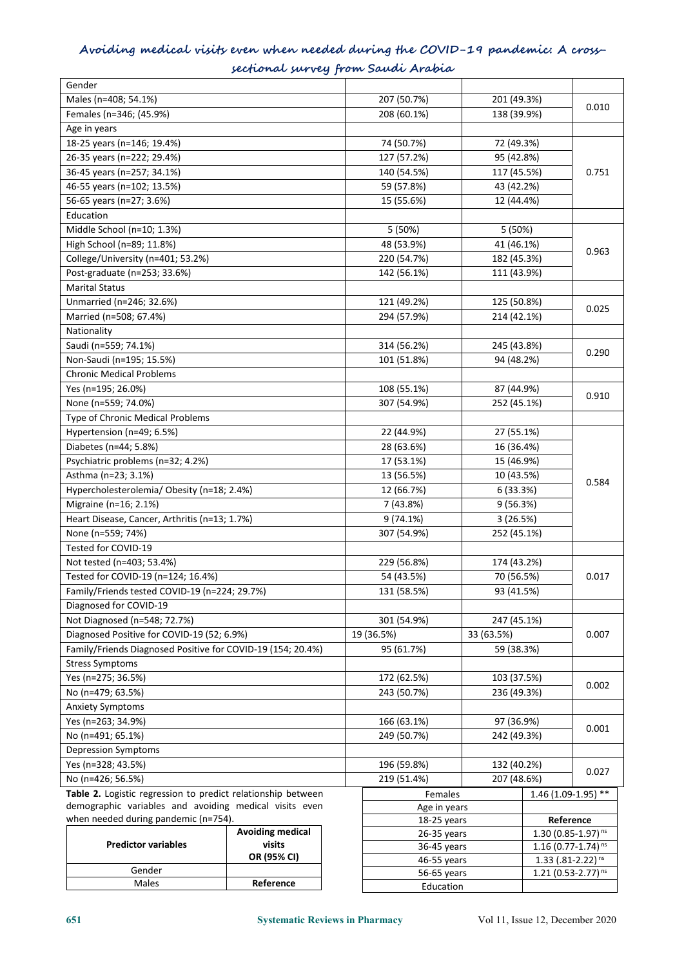## **Avoiding medical visits even when needed during the COVID-19 pandemic: A crosssectional survey from Saudi Arabia**

| Gender                                                       |             |                            |                                     |            |                      |
|--------------------------------------------------------------|-------------|----------------------------|-------------------------------------|------------|----------------------|
| Males (n=408; 54.1%)                                         |             | 207 (50.7%)                | 201 (49.3%)                         |            | 0.010                |
| Females (n=346; (45.9%)                                      |             | 208 (60.1%)                | 138 (39.9%)                         |            |                      |
| Age in years                                                 |             |                            |                                     |            |                      |
| 18-25 years (n=146; 19.4%)                                   |             | 74 (50.7%)                 | 72 (49.3%)                          |            |                      |
| 26-35 years (n=222; 29.4%)                                   |             | 127 (57.2%)                | 95 (42.8%)                          |            |                      |
| 36-45 years (n=257; 34.1%)                                   |             | 140 (54.5%)                | 117 (45.5%)                         |            | 0.751                |
| 46-55 years (n=102; 13.5%)                                   |             | 59 (57.8%)                 | 43 (42.2%)                          |            |                      |
| 56-65 years (n=27; 3.6%)                                     |             | 15 (55.6%)                 | 12 (44.4%)                          |            |                      |
| Education                                                    |             |                            |                                     |            |                      |
| Middle School (n=10; 1.3%)                                   |             | 5 (50%)                    | 5 (50%)                             |            |                      |
| High School (n=89; 11.8%)                                    |             | 48 (53.9%)                 |                                     | 41 (46.1%) |                      |
| College/University (n=401; 53.2%)                            |             | 220 (54.7%)                | 182 (45.3%)                         |            | 0.963                |
| Post-graduate (n=253; 33.6%)                                 |             | 142 (56.1%)                | 111 (43.9%)                         |            |                      |
| <b>Marital Status</b>                                        |             |                            |                                     |            |                      |
| Unmarried (n=246; 32.6%)                                     |             | 121 (49.2%)                | 125 (50.8%)                         |            |                      |
| Married (n=508; 67.4%)                                       |             | 294 (57.9%)                | 214 (42.1%)                         |            | 0.025                |
| Nationality                                                  |             |                            |                                     |            |                      |
| Saudi (n=559; 74.1%)                                         |             | 314 (56.2%)                | 245 (43.8%)                         |            |                      |
| Non-Saudi (n=195; 15.5%)                                     |             | 101 (51.8%)                | 94 (48.2%)                          |            | 0.290                |
| <b>Chronic Medical Problems</b>                              |             |                            |                                     |            |                      |
| Yes (n=195; 26.0%)                                           |             | 108 (55.1%)                | 87 (44.9%)                          |            |                      |
| None (n=559; 74.0%)                                          |             | 307 (54.9%)                | 252 (45.1%)                         |            | 0.910                |
| Type of Chronic Medical Problems                             |             |                            |                                     |            |                      |
| Hypertension (n=49; 6.5%)                                    |             | 22 (44.9%)                 | 27 (55.1%)                          |            |                      |
| Diabetes (n=44; 5.8%)                                        |             | 28 (63.6%)                 | 16 (36.4%)                          |            |                      |
| Psychiatric problems (n=32; 4.2%)                            |             | 17 (53.1%)                 | 15 (46.9%)                          |            |                      |
| Asthma (n=23; 3.1%)                                          |             | 13 (56.5%)                 | 10 (43.5%)                          |            |                      |
| Hypercholesterolemia/ Obesity (n=18; 2.4%)                   |             | 12 (66.7%)                 | 6(33.3%)                            |            | 0.584                |
| Migraine (n=16; 2.1%)                                        |             |                            |                                     |            |                      |
| Heart Disease, Cancer, Arthritis (n=13; 1.7%)                |             | 7 (43.8%)                  | 9(56.3%)<br>3(26.5%)<br>252 (45.1%) |            |                      |
|                                                              |             | 9(74.1%)                   |                                     |            |                      |
| None (n=559; 74%)<br>Tested for COVID-19                     |             | 307 (54.9%)                |                                     |            |                      |
|                                                              |             |                            |                                     |            |                      |
| Not tested (n=403; 53.4%)                                    |             | 229 (56.8%)                | 174 (43.2%)                         |            |                      |
| Tested for COVID-19 (n=124; 16.4%)                           |             | 54 (43.5%)                 | 70 (56.5%)                          |            | 0.017                |
| Family/Friends tested COVID-19 (n=224; 29.7%)                |             | 131 (58.5%)                | 93 (41.5%)                          |            |                      |
| Diagnosed for COVID-19                                       |             |                            |                                     |            |                      |
| Not Diagnosed (n=548; 72.7%)                                 |             | 301 (54.9%)<br>247 (45.1%) |                                     |            |                      |
| Diagnosed Positive for COVID-19 (52; 6.9%)                   |             | 19 (36.5%)                 | 33 (63.5%)                          |            | 0.007                |
| Family/Friends Diagnosed Positive for COVID-19 (154; 20.4%)  |             | 95 (61.7%)                 | 59 (38.3%)                          |            |                      |
| <b>Stress Symptoms</b>                                       |             |                            |                                     |            |                      |
| Yes (n=275; 36.5%)                                           |             | 172 (62.5%)                | 103 (37.5%)                         |            | 0.002                |
| No (n=479; 63.5%)                                            |             | 243 (50.7%)                | 236 (49.3%)                         |            |                      |
| <b>Anxiety Symptoms</b>                                      |             |                            |                                     |            |                      |
| Yes (n=263; 34.9%)                                           | 166 (63.1%) |                            | 97 (36.9%)                          |            | 0.001                |
| No (n=491; 65.1%)                                            |             | 249 (50.7%)                | 242 (49.3%)                         |            |                      |
| Depression Symptoms                                          |             |                            |                                     |            |                      |
| Yes (n=328; 43.5%)                                           |             | 196 (59.8%)                | 132 (40.2%)                         |            | 0.027                |
| No (n=426; 56.5%)                                            |             | 219 (51.4%)                | 207 (48.6%)                         |            |                      |
| Table 2. Logistic regression to predict relationship between |             | Females                    |                                     |            | $1.46(1.09-1.95)$ ** |
| demographic variables and avoiding medical visits even       |             | Age in years               |                                     |            |                      |
| when needed during pandemic (n=754).                         | 18-25 years |                            | Reference                           |            |                      |

| when needed during pandemic (n=754). |                         | 18 |
|--------------------------------------|-------------------------|----|
|                                      | <b>Avoiding medical</b> | 26 |
| <b>Predictor variables</b>           | visits                  | 36 |
|                                      | OR (95% CI)             | 46 |
| Gender                               |                         | 56 |
| Males                                | Reference               |    |

| Females       | $1.46(1.09-1.95)$ **               |
|---------------|------------------------------------|
| Age in years  |                                    |
| 18-25 years   | Reference                          |
| $26-35$ years | 1.30 $(0.85 - 1.97)$ <sup>ns</sup> |
| 36-45 years   | $1.16$ (0.77-1.74) <sup>ns</sup>   |
| 46-55 years   | $1.33$ (.81-2.22) <sup>ns</sup>    |
| 56-65 years   | 1.21 $(0.53 - 2.77)$ <sup>ns</sup> |
| Education     |                                    |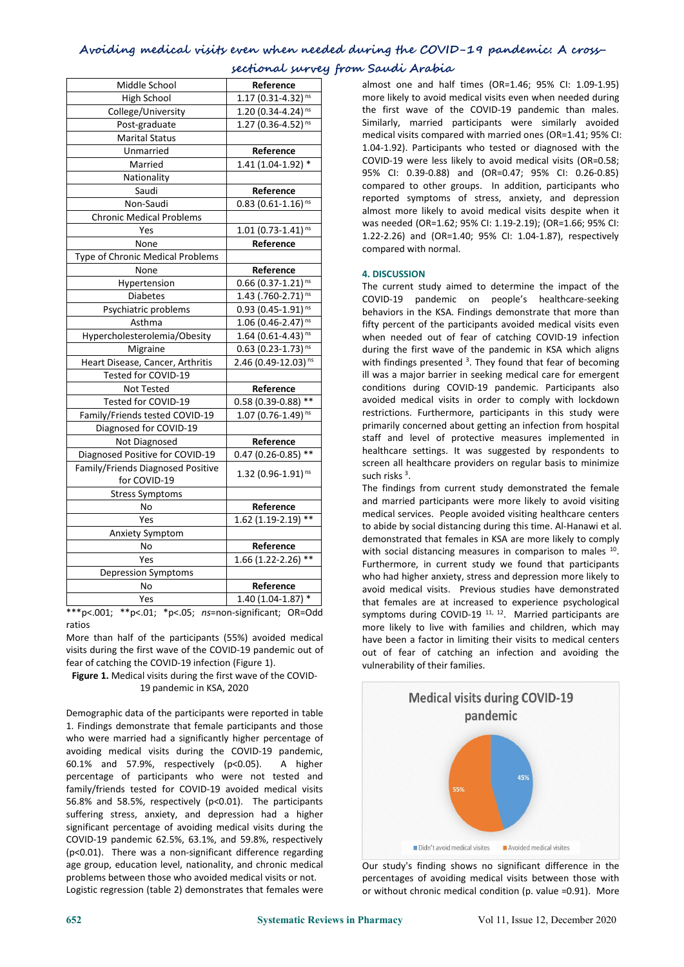| Middle School                     | Reference                           | almost one and half times (OR=1.46; 95%                                                      |
|-----------------------------------|-------------------------------------|----------------------------------------------------------------------------------------------|
| High School                       | $1.17(0.31 - 4.32)^{ns}$            | more likely to avoid medical visits even when                                                |
| College/University                | 1.20 $(0.34 - 4.24)$ <sup>ns</sup>  | the first wave of the COVID-19 pandemi                                                       |
| Post-graduate                     | $1.27(0.36 - 4.52)^{ns}$            | Similarly, married participants were sin                                                     |
| <b>Marital Status</b>             |                                     | medical visits compared with married ones (C                                                 |
| Unmarried                         | Reference                           | 1.04-1.92). Participants who tested or diagi                                                 |
| Married                           | $1.41(1.04-1.92)*$                  | COVID-19 were less likely to avoid medical                                                   |
| Nationality                       |                                     | 95% CI: 0.39-0.88) and (OR=0.47; 95%                                                         |
| Saudi                             | Reference                           | compared to other groups. In addition, pa                                                    |
| Non-Saudi                         | $0.83$ (0.61-1.16) <sup>ns</sup>    | reported symptoms of stress, anxiety, a                                                      |
| <b>Chronic Medical Problems</b>   |                                     | almost more likely to avoid medical visits o                                                 |
| Yes                               | $1.01(0.73 - 1.41)^{ns}$            | was needed (OR=1.62; 95% CI: 1.19-2.19); (O<br>1.22-2.26) and (OR=1.40; 95% CI: 1.04-1.8)    |
| None                              | Reference                           | compared with normal.                                                                        |
| Type of Chronic Medical Problems  |                                     |                                                                                              |
| None                              | Reference                           | <b>4. DISCUSSION</b>                                                                         |
| Hypertension                      | $0.66$ (0.37-1.21) <sup>ns</sup>    | The current study aimed to determine the                                                     |
| Diabetes                          | 1.43 $(.760-2.71)$ <sup>ns</sup>    | pandemic on<br>COVID-19<br>people's<br>hea                                                   |
| Psychiatric problems              | $0.93(0.45-1.91)^{ns}$              | behaviors in the KSA. Findings demonstrate                                                   |
| Asthma                            | 1.06 $(0.46 - 2.47)$ <sup>ns</sup>  | fifty percent of the participants avoided med                                                |
| Hypercholesterolemia/Obesity      | $1.64$ (0.61-4.43) <sup>ns</sup>    | when needed out of fear of catching COV                                                      |
| Migraine                          | $0.63$ (0.23-1.73) <sup>ns</sup>    | during the first wave of the pandemic in K.                                                  |
| Heart Disease, Cancer, Arthritis  | 2.46 $(0.49 - 12.03)$ <sup>ns</sup> | with findings presented <sup>3</sup> . They found that fe                                    |
| Tested for COVID-19               |                                     | ill was a major barrier in seeking medical car                                               |
| Not Tested                        | Reference                           | conditions during COVID-19 pandemic. Pa                                                      |
| Tested for COVID-19               | $0.58(0.39 - 0.88)$ **              | avoided medical visits in order to comply                                                    |
| Family/Friends tested COVID-19    | $1.07(0.76-1.49)^{ns}$              | restrictions. Furthermore, participants in tl                                                |
| Diagnosed for COVID-19            |                                     | primarily concerned about getting an infectio                                                |
| Not Diagnosed                     | Reference                           | staff and level of protective measures ir                                                    |
| Diagnosed Positive for COVID-19   | $0.47(0.26 - 0.85)$ **              | healthcare settings. It was suggested by I                                                   |
| Family/Friends Diagnosed Positive | $1.32$ (0.96-1.91) <sup>ns</sup>    | screen all healthcare providers on regular ba                                                |
| for COVID-19                      |                                     | such risks <sup>3</sup> .                                                                    |
| <b>Stress Symptoms</b>            |                                     | The findings from current study demonstra                                                    |
| No                                | Reference                           | and married participants were more likely t<br>medical services. People avoided visiting hea |
| Yes                               | $1.62$ (1.19-2.19) **               | to abide by social distancing during this time.                                              |
| Anxiety Symptom                   |                                     | demonstrated that females in KSA are more                                                    |
| No                                | Reference                           | with social distancing measures in comparis                                                  |
| Yes                               | $1.66$ (1.22-2.26) **               | Furthermore, in current study we found th                                                    |
| <b>Depression Symptoms</b>        |                                     | who had higher anxiety, stress and depressio                                                 |
| No                                | Reference                           | avoid medical visits. Previous studies have                                                  |
| Yes                               | $1.40(1.04-1.87)$ *                 | that females are at increased to experienc                                                   |

**sectional survey from Saudi Arabia**

almost one and half times (OR=1.46; 95% CI: 1.09-1.95) more likely to avoid medical visits even when needed during the first wave of the COVID-19 pandemic than males. Similarly, married participants were similarly avoided medical visits compared with married ones (OR=1.41; 95% CI: 1.04-1.92). Participants who tested or diagnosed with the COVID-19 were less likely to avoid medical visits (OR=0.58; 95% CI: 0.39-0.88) and (OR=0.47; 95% CI: 0.26-0.85) compared to other groups. In addition, participants who reported symptoms of stress, anxiety, and depression almost more likely to avoid medical visits despite when it was needed (OR=1.62; 95% CI: 1.19-2.19); (OR=1.66; 95% CI: 1.22-2.26) and (OR=1.40; 95% CI: 1.04-1.87), respectively compared with normal.

Tested for COVID-19 0.58 (0.39-0.88) \*\* avoided medical visits in order to comply with lockdown The current study aimed to determine the impact of the COVID-19 pandemic on people's healthcare-seeking behaviors in the KSA. Findings demonstrate that more than fifty percent of the participants avoided medical visits even when needed out of fear of catching COVID-19 infection during the first wave of the pandemic in KSA which aligns with findings presented <sup>3</sup>. They found that fear of becoming ill was a major barrier in seeking medical care for emergent conditions during COVID-19 pandemic. Participants also restrictions. Furthermore, participants in this study were primarily concerned about getting an infection from hospital staff and level of protective measures implemented in healthcare settings. It was suggested by respondents to screen all healthcare providers on regular basis to minimize such risks  $3$ . .

 $\frac{y_{\text{es}}}{y_{\text{c}}}\$  1.62 (1.19-2.19) \*\* to abide by social distancing during this time. Al-Hanawi et al.  $Y$ es  $1.66 (1.22-2.26)$  \*\* Furthermore, in current study we found that participants  $Y$ es  $1.40 (1.04-1.87)$  that females are at increased to experience psychological The findings from current study demonstrated the female and married participants were more likely to avoid visiting medical services. People avoided visiting healthcare centers demonstrated that females in KSA aremore likely to comply with social distancing measures in comparison to males <sup>10</sup>. . who had higher anxiety, stress and depression more likely to avoid medical visits. Previous studies have demonstrated symptoms during COVID-19<sup> 11, 12</sup>. Married participants are more likely to live with families and children, which may have been a factor in limiting their visits to medical centers out of fear of catching an infection and avoiding the vulnerability of their families.



Our study's finding shows no significant difference in the percentages of avoiding medical visits between those with or without chronic medical condition (p. value =0.91). More

\*\*\*p<.001; \*\*p<.01; \*p<.05; *ns*=non-significant; OR=Odd ratios

More than half of the participants (55%) avoided medical visits during the first wave of the COVID-19 pandemic out of fear of catching the COVID-19 infection (Figure 1).

**Figure 1.** Medical visits during the first wave of the COVID- 19 pandemic in KSA, 2020

Demographic data of the participants were reported in table 1. Findings demonstrate that female participants and those who were married had a significantly higher percentage of avoiding medical visits during the COVID-19 pandemic,<br>60.1% and 57.9%, respectively (p<0.05). A higher percentage of participants who were not tested and family/friends tested for COVID-19 avoided medical visits 56.8% and 58.5%, respectively (p<0.01). The participants suffering stress, anxiety, and depression had a higher significant percentage of avoiding medical visits during the COVID-19 pandemic 62.5%, 63.1%, and 59.8%, respectively  $(p<0.01)$ . There was a non-significant difference regarding  $[p<0.01]$ . There was a non-significant difference regarding age group, education level, nationality, and chronic medical problems between those who avoided medical visits or not.<br>Logistic regression (table 2) demonstrates that females were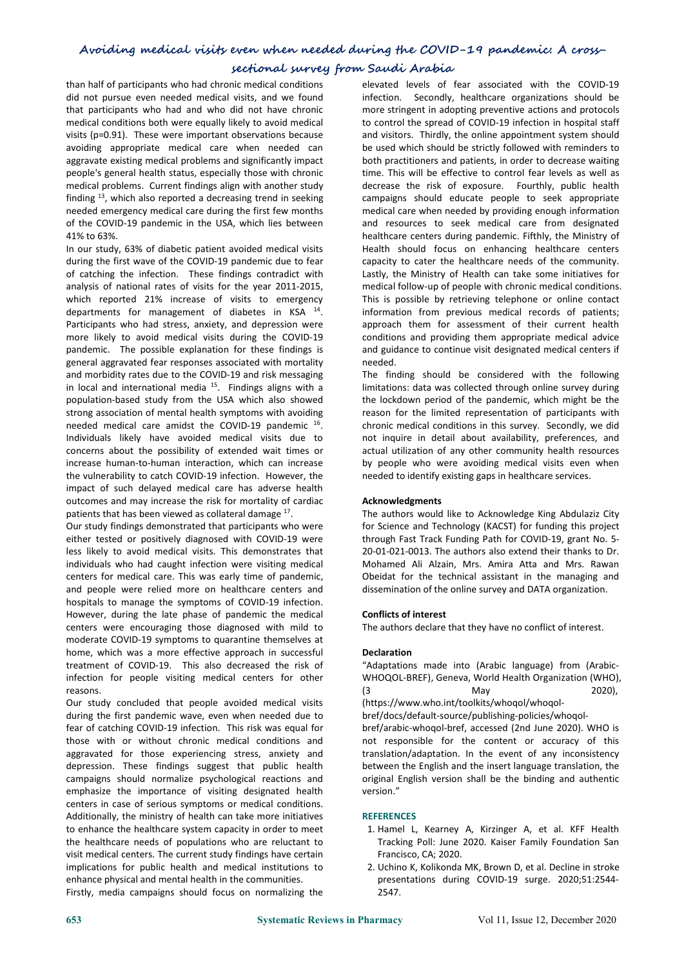## **sectional survey from Saudi Arabia**

than half of participants who had chronic medical conditions did not pursue even needed medical visits, and we found that participants who had and who did not have chronic medical conditions both were equally likely to avoid medical visits (p=0.91). These were important observations because avoiding appropriate medical care when needed can aggravate existing medical problems and significantly impact people's general health status, especially those with chronic medical problems. Current findings align with another study finding  $^{13}$ , which also reported a decreasing trend in seeking campaigns  $\pm$ needed emergency medical care during the first few months of the COVID-19 pandemic in the USA, which lies between 41% to 63%.

In our study, 63% of diabetic patient avoided medical visits during the first wave of the COVID-19 pandemic due to fear of catching the infection. These findings contradict with analysis of national rates of visits for the year 2011-2015, which reported 21% increase of visits to emergency departments for management of diabetes in KSA <sup>14</sup>. Participants who had stress, anxiety, and depression were more likely to avoid medical visits during the COVID-19 pandemic. The possible explanation for these findings is general aggravated fear responses associated with mortality and morbidity rates due to the COVID-19 and risk messaging in local and international media <sup>15</sup>. Findings aligns with a limitations: dat<br>population-based study from the USA which also showed the lockdown strong association of mental health symptoms with avoiding needed medical care amidst the COVID-19 pandemic <sup>16</sup>. Individuals likely have avoided medical visits due to concerns about the possibility of extended wait times or increase human-to-human interaction, which can increase the vulnerability to catch COVID-19 infection. However, the impact of such delayed medical care has adverse health outcomes and may increase the risk for mortality of cardiac patients that has been viewed as collateral damage <sup>17</sup>. The .

Our study findings demonstrated that participants who were either tested or positively diagnosed with COVID-19 were less likely to avoid medical visits. This demonstrates that 20-01-021-0013. The authors also extend their thanks to Dr. individuals who had caught infection were visiting medical centers for medical care. This was early time of pandemic, and people were relied more on healthcare centers and hospitals to manage the symptoms of COVID-19 infection. However, during the late phase of pandemic the medical centers were encouraging those diagnosed with mild to moderate COVID-19 symptoms to quarantine themselves at home, which was a more effective approach in successful treatment of COVID-19. This also decreased the risk of infection for people visiting medical centers for other reasons.

Our study concluded that people avoided medical visits during the first pandemic wave, even when needed due to fear of catching COVID-19 infection. This risk was equal for those with or without chronic medical conditions and aggravated for those experiencing stress, anxiety and depression. These findings suggest that public health campaigns should normalize psychological reactions and emphasize the importance of visiting designated health centers in case of serious symptoms or medical conditions. Additionally, the ministry of health can take more initiatives to enhance the healthcare system capacity in order to meet the healthcare needs of populations who are reluctant to visit medical centers. The current study findings have certain implications for public health and medical institutions to enhance physical and mental health in the communities.

Firstly, media campaigns should focus on normalizing the

<sup>14</sup>. information from previous medical records of patients; elevated levels of fear associated with the COVID-19 infection. Secondly, healthcare organizations should be more stringent in adopting preventive actions and protocols to control the spread of COVID-19 infection in hospital staff and visitors. Thirdly, the online appointment system should be used which should be strictly followed with reminders to both practitioners and patients, in order to decrease waiting time. This will be effective to control fear levels as well as decrease the risk of exposure. Fourthly, public health campaigns should educate people to seek appropriate medical care when needed by providing enough information and resources to seek medical care from designated healthcare centers during pandemic. Fifthly, the Ministry of Health should focus on enhancing healthcare centers capacity to cater the healthcare needs of the community. Lastly, the Ministry of Health can take some initiatives for medical follow-up of people with chronic medical conditions. This is possible by retrieving telephone or online contact approach them for assessment of their current health conditions and providing them appropriate medical advice and guidance to continue visit designated medical centers if needed.

<sup>16</sup>. Chronic medical conditions in this survey. Secondly, we did The finding should be considered with the following limitations: data was collected through online survey during the lockdown period of the pandemic, which might be the reason for the limited representation of participants with not inquire in detail about availability, preferences, and actual utilization of any other community health resources by people who were avoiding medical visits even when needed to identify existing gaps in healthcare services.

## **Acknowledgments**

The authors would like to Acknowledge King Abdulaziz City for Science and Technology (KACST) for funding this project through Fast Track Funding Path for COVID-19, grant No. 5- Mohamed Ali Alzain, Mrs. Amira Atta and Mrs. Rawan Obeidat for the technical assistant in the managing and dissemination of the online survey and DATA organization.

## **Conflicts of interest**

The authors declare that they have no conflict of interest.

## **Declaration**

"Adaptations made into (Arabic language) from (Arabic- WHOQOL-BREF), Geneva, World Health Organization (WHO), (3 May 2020), (https://www.who.int/toolkits/whoqol/whoqol bref/docs/default-source/publishing-policies/whoqol bref/arabic-whoqol-bref, accessed (2nd June 2020). WHO is not responsible for the content or accuracy of this translation/adaptation. In the event of any inconsistency between the English and the insert language translation, the original English version shall be the binding and authentic

## **REFERENCES**

version."

- 1. Hamel L, Kearney A, Kirzinger A, et al. KFF Health Tracking Poll: June 2020. Kaiser Family Foundation San Francisco, CA; 2020.
- 2. Uchino K, Kolikonda MK, Brown D, et al. Decline in stroke presentations during COVID-19 surge. 2020;51:2544- 2547.